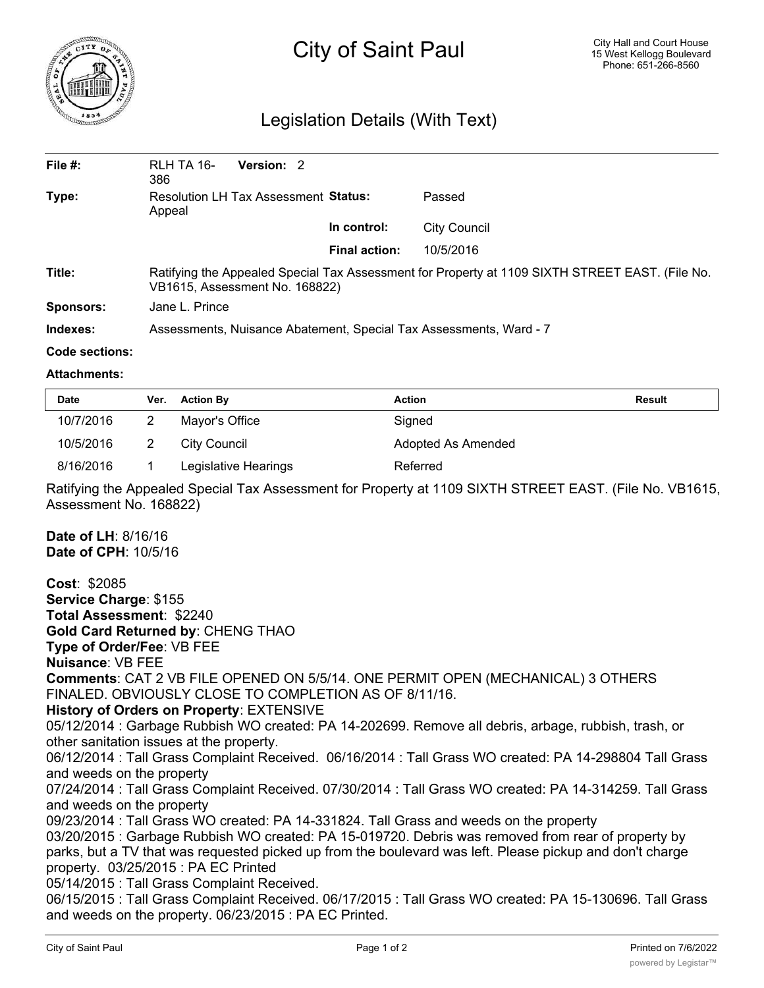

## City of Saint Paul

## Legislation Details (With Text)

| File $#$ :       | RLH TA 16-<br>386                                                                                                                 | Version: 2 |                      |              |  |  |
|------------------|-----------------------------------------------------------------------------------------------------------------------------------|------------|----------------------|--------------|--|--|
| Type:            | Resolution LH Tax Assessment Status:<br>Appeal                                                                                    |            |                      | Passed       |  |  |
|                  |                                                                                                                                   |            | In control:          | City Council |  |  |
|                  |                                                                                                                                   |            | <b>Final action:</b> | 10/5/2016    |  |  |
| Title:           | Ratifying the Appealed Special Tax Assessment for Property at 1109 SIXTH STREET EAST. (File No.<br>VB1615, Assessment No. 168822) |            |                      |              |  |  |
| <b>Sponsors:</b> | Jane L. Prince                                                                                                                    |            |                      |              |  |  |
| Indexes:         | Assessments, Nuisance Abatement, Special Tax Assessments, Ward - 7                                                                |            |                      |              |  |  |
| Code sections:   |                                                                                                                                   |            |                      |              |  |  |

## **Attachments:**

| <b>Date</b> | Ver. | <b>Action By</b>     | Action             | Result |
|-------------|------|----------------------|--------------------|--------|
| 10/7/2016   |      | Mayor's Office       | Signed             |        |
| 10/5/2016   |      | City Council         | Adopted As Amended |        |
| 8/16/2016   |      | Legislative Hearings | Referred           |        |

Ratifying the Appealed Special Tax Assessment for Property at 1109 SIXTH STREET EAST. (File No. VB1615, Assessment No. 168822)

**Date of LH**: 8/16/16 **Date of CPH**: 10/5/16

**Cost**: \$2085 **Service Charge**: \$155 **Total Assessment**: \$2240 **Gold Card Returned by**: CHENG THAO **Type of Order/Fee**: VB FEE **Nuisance**: VB FEE **Comments**: CAT 2 VB FILE OPENED ON 5/5/14. ONE PERMIT OPEN (MECHANICAL) 3 OTHERS FINALED. OBVIOUSLY CLOSE TO COMPLETION AS OF 8/11/16. **History of Orders on Property**: EXTENSIVE 05/12/2014 : Garbage Rubbish WO created: PA 14-202699. Remove all debris, arbage, rubbish, trash, or other sanitation issues at the property. 06/12/2014 : Tall Grass Complaint Received. 06/16/2014 : Tall Grass WO created: PA 14-298804 Tall Grass and weeds on the property 07/24/2014 : Tall Grass Complaint Received. 07/30/2014 : Tall Grass WO created: PA 14-314259. Tall Grass and weeds on the property 09/23/2014 : Tall Grass WO created: PA 14-331824. Tall Grass and weeds on the property 03/20/2015 : Garbage Rubbish WO created: PA 15-019720. Debris was removed from rear of property by parks, but a TV that was requested picked up from the boulevard was left. Please pickup and don't charge property. 03/25/2015 : PA EC Printed 05/14/2015 : Tall Grass Complaint Received. 06/15/2015 : Tall Grass Complaint Received. 06/17/2015 : Tall Grass WO created: PA 15-130696. Tall Grass and weeds on the property. 06/23/2015 : PA EC Printed.